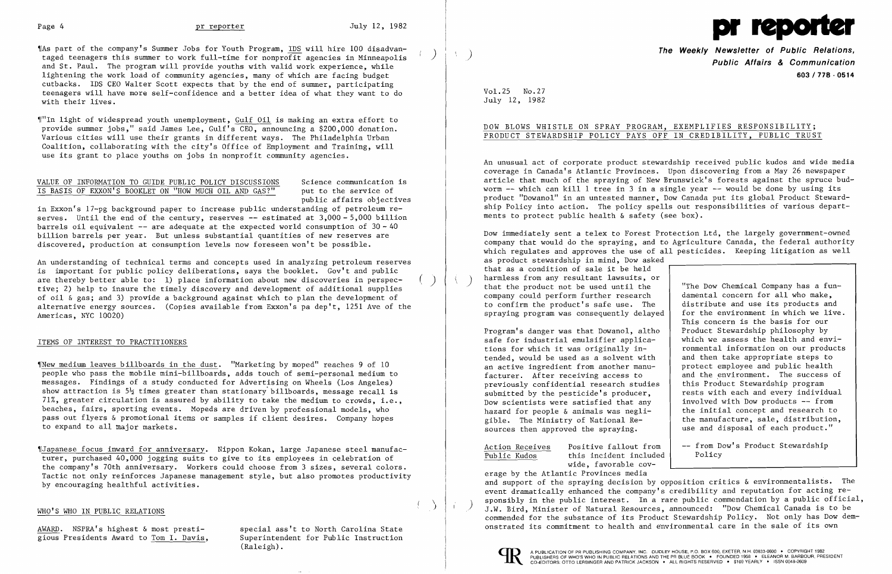

'IAs part of the company's Summer Jobs for Youth Program, IDS will hire 100 disadvantaged teenagers this summer to work full-time for nonprofit agencies in Minneapolis and St. Paul. The program will provide youths with valid work experience, while lightening the work load of community agencies, many of which are facing budget cutbacks. IDS CEO Walter Scott expects that by the end of summer, participating teenagers will have more self-confidence and a better idea of what they want to do with their lives.

"In light of widespread youth unemployment, Gulf Oil is making an extra effort to provide summer jobs," said James Lee, Gulf's CEO, announcing a \$200,000 donation. Various cities will use their grants in different ways. The Philadelphia Urban Coalition, collaborating with the city's Office of Employment and Training, will use its grant to place youths on jobs in nonprofit community agencies.

### VALUE OF INFORMATION TO GUIDE PUBLIC POLICY DISCUSSIONS Science communication is<br>IS BASIS OF EXXON'S BOOKLET ON "HOW MUCH OIL AND GAS?" put to the service of IS BASIS OF EXXON'S BOOKLET ON "HOW MUCH OIL AND GAS?"

)

An understanding of technical terms and concepts used in analyzing petroleum reserves is important for public policy deliberations, says the booklet. Gov't and public are thereby better able to: 1) place information about new discoveries in perspective; 2) help to insure the timely discovery and development of additional supplies of oil & gas; and 3) provide a background against which to plan the development of alternative energy sources. (Copies available from Exxon's pa dep't, 1251 Ave of the Americas, NYC 10020)  $\left(\begin{array}{c} \end{array}\right)$ 

### ITEMS OF INTEREST TO PRACTITIONERS

public affairs objectives

in Exxon's 17-pg background paper to increase public understanding of petroleum reserves. Until the end of the century, reserves -- estimated at 3,000 - 5,000 billion barrels oil equivalent  $-$  are adequate at the expected world consumption of  $30 - 40$ billion barrels per year. But unless substantial quantities of new reserves are discovered, production at consumption levels now foreseen won't be possible.

 $\gamma$ New medium leaves billboards in the dust. "Marketing by moped" reaches 9 of 10 people who pass the mobile mini-billboards, adds touch of semi-personal medium to messages. Findings of a study conducted for Advertising on Wheels (Los Angeles) show attraction is  $5\frac{1}{2}$  times greater than stationary billboards, message recall is 71%, greater circulation is assured by ability to take the medium to crowds, i.e., beaches, fairs, sporting events. Mopeds are driven by professional models, who pass out flyers & promotional items or samples if client desires. Company hopes to expand to all major markets.

) harmless from any resultant lawsuits, or<br>that the product not be used until the strip withe Dow Chemical Company has a fun-"The Dow Chemical Company has a fun-<br>damental concern for all who make. distribute and use its products and for the environment in which we live. Dow immediately sent a telex to Forest Protection Ltd, the largely government-owned company that would do the spraying, and to Agriculture Canada, the federal authority which regulates and approves the use of all pesticides. Keeping litigation as well as product stewardship in mind, Dow asked that as a condition of sale it be held harmless from any resultant lawsuits, or company could perform further research to confirm the product's safe use. The spraying program was consequently delayed

> -- from Dow's Product Stewardship Policy

,rJapanese focus inward for anniversary. Nippon Kokan, large Japanese steel manufacturer, purchased 40,000 jogging suits to give to its employees in celebration of the company's 70th anniversary. Workers could choose from 3 sizes, several colors. Tactic not only reinforces Japanese management style, but also promotes productivity by encouraging healthful activities.

### WHO'S WHO IN PUBLIC RELATIONS

AWARD. NSPRA's highest & most prestigious Presidents Award to Tom I. Davis,

special ass't to North Carolina State Superintendent for Public Instruction (Raleigh).

) **The Weekly Newsletter of Public Relations, Public Affairs & Communication 603/778 - 0514** 

Vol. 25 No.27 July 12, 1982

## DOW BLOWS WHISTLE ON SPRAY PROGRAM, EXEMPLIFIES RESPONSIBILITY; PRODUCT STEWARDSHIP POLICY PAYS OFF IN CREDIBILITY, PUBLIC TRUST

An unusual act of corporate product stewardship received public kudos and wide media coverage in Canada's Atlantic Provinces. Upon discovering from a May 26 newspaper article that much of the spraying of New Brunswick's forests against the spruce budworm **-** which can kill 1 tree in 3 in a single year - would be done by using its product "Dowanol" in an untested manner, Dow Canada put its global Product Stewardship Policy into action. The policy spells out responsibilities of various departments to protect public health & safety (see box).

This concern is the basis for our Product Stewardship philosophy by which we assess the health and environmental information on our products and then take appropriate steps to protect employee and public health and the environment. The success of this Product Stewardship program rests with each and every individual involved with Dow products - from the initial concept and research to the manufacture, sale, distribution, use and disposal of each product." Program's danger was that Dowanol, altho safe for industrial emulsifier applications for which it was originally intended, would be used as a solvent with an active ingredient from another manufacturer. After receiving access to previously confidential research studies submitted by the pesticide's producer, Dow scientists were satisfied that any hazard for people & animals was negligible. The Ministry of National Resources then approved the spraying.

> Positive fallout from this incident included wide, favorable cov-

erage by the Atlantic Provinces media and support of the spraying decision by opposition critics & environmentalists. The event dramatically enhanced the company's credibility and reputation for acting responsibly in the public interest. In a rare public commendation by a public official, J.W. Bird, Minister of Natural Resources, announced: "Dow Chemical Canada is to be commended for the substance of its Product Stewardship Policy. Not only has Dow demonstrated its commitment to health and environmental care in the sale of its own



 $\Delta$ 

 $\left( \begin{array}{c} 1 \\ 1 \end{array} \right)$ 

Action Receives Public Kudos